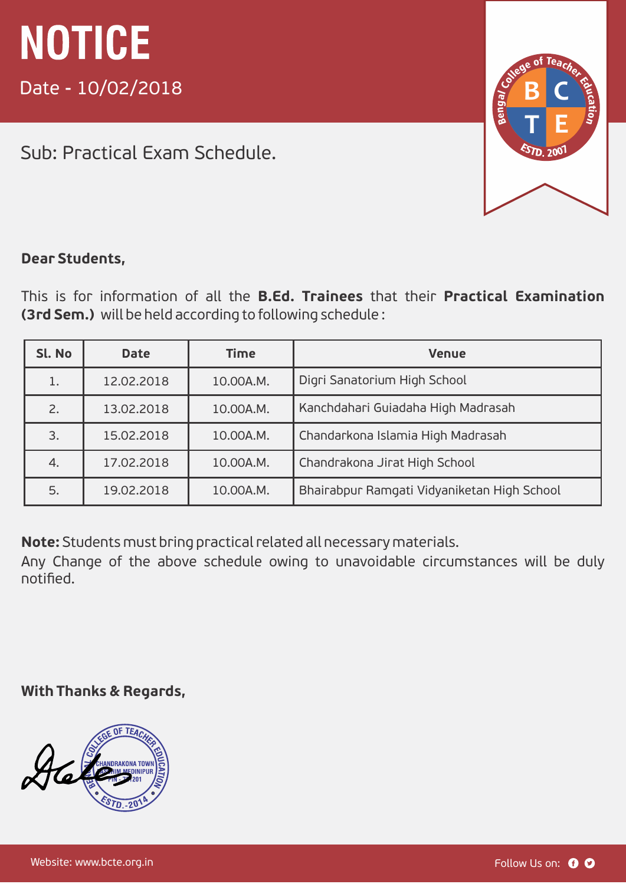Sub: Practical Exam Schedule.



#### **Dear Students,**

This is for information of all the **B.Ed. Trainees** that their **Practical Examination (3rd Sem.)** will be held according to following schedule :

| Sl. No | <b>Date</b> | <b>Time</b> | <b>Venue</b>                                |
|--------|-------------|-------------|---------------------------------------------|
|        | 12.02.2018  | 10.00A.M.   | Digri Sanatorium High School                |
| 2.     | 13.02.2018  | 10.00A.M.   | Kanchdahari Guiadaha High Madrasah          |
| 3.     | 15.02.2018  | 10.00A.M.   | Chandarkona Islamia High Madrasah           |
| 4.     | 17.02.2018  | 10.00A.M.   | Chandrakona Jirat High School               |
| 5.     | 19.02.2018  | 10.00A.M.   | Bhairabpur Ramgati Vidyaniketan High School |

**Note:** Students must bring practical related all necessary materials.

Any Change of the above schedule owing to unavoidable circumstances will be duly notified.

**With Thanks & Regards,**

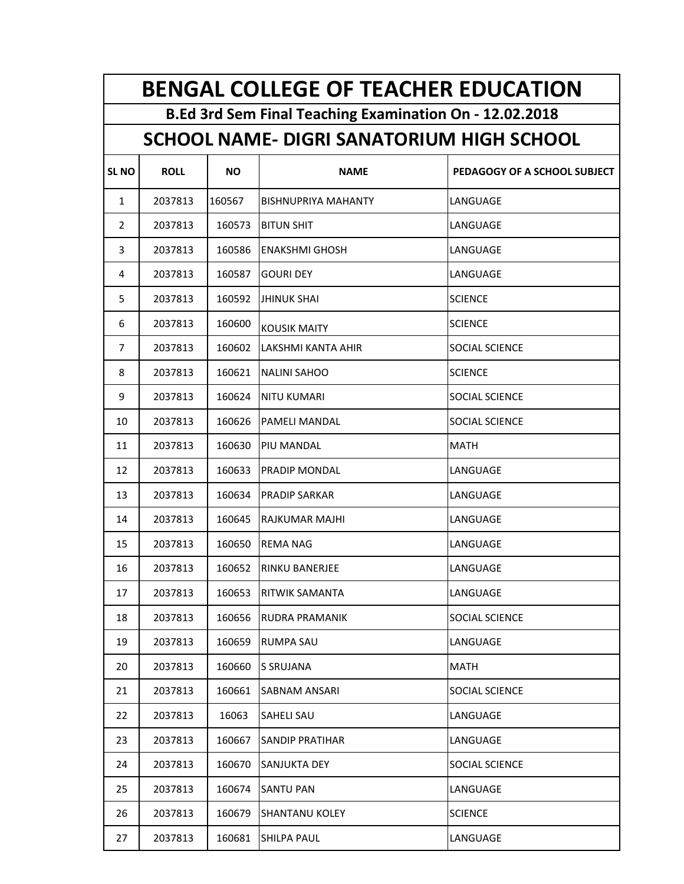|                | <b>BENGAL COLLEGE OF TEACHER EDUCATION</b>              |        |                                                  |                              |  |  |
|----------------|---------------------------------------------------------|--------|--------------------------------------------------|------------------------------|--|--|
|                | B.Ed 3rd Sem Final Teaching Examination On - 12.02.2018 |        |                                                  |                              |  |  |
|                |                                                         |        | <b>SCHOOL NAME- DIGRI SANATORIUM HIGH SCHOOL</b> |                              |  |  |
| <b>SLNO</b>    | <b>ROLL</b>                                             | ΝO     | <b>NAME</b>                                      | PEDAGOGY OF A SCHOOL SUBJECT |  |  |
| $\mathbf{1}$   | 2037813                                                 | 160567 | BISHNUPRIYA MAHANTY                              | LANGUAGE                     |  |  |
| 2              | 2037813                                                 | 160573 | <b>BITUN SHIT</b>                                | LANGUAGE                     |  |  |
| 3              | 2037813                                                 | 160586 | <b>ENAKSHMI GHOSH</b>                            | LANGUAGE                     |  |  |
| 4              | 2037813                                                 | 160587 | <b>GOURI DEY</b>                                 | LANGUAGE                     |  |  |
| 5              | 2037813                                                 | 160592 | <b>JHINUK SHAI</b>                               | <b>SCIENCE</b>               |  |  |
| 6              | 2037813                                                 | 160600 | <b>KOUSIK MAITY</b>                              | <b>SCIENCE</b>               |  |  |
| $\overline{7}$ | 2037813                                                 | 160602 | LAKSHMI KANTA AHIR                               | SOCIAL SCIENCE               |  |  |
| 8              | 2037813                                                 | 160621 | <b>NALINI SAHOO</b>                              | <b>SCIENCE</b>               |  |  |
| 9              | 2037813                                                 | 160624 | <b>NITU KUMARI</b>                               | <b>SOCIAL SCIENCE</b>        |  |  |
| 10             | 2037813                                                 | 160626 | <b>PAMELI MANDAL</b>                             | <b>SOCIAL SCIENCE</b>        |  |  |
| 11             | 2037813                                                 | 160630 | PIU MANDAL                                       | <b>MATH</b>                  |  |  |
| 12             | 2037813                                                 | 160633 | PRADIP MONDAL                                    | LANGUAGE                     |  |  |
| 13             | 2037813                                                 | 160634 | <b>PRADIP SARKAR</b>                             | LANGUAGE                     |  |  |
| 14             | 2037813                                                 | 160645 | RAJKUMAR MAJHI                                   | LANGUAGE                     |  |  |
| 15             | 2037813                                                 | 160650 | <b>REMA NAG</b>                                  | LANGUAGE                     |  |  |
| 16             | 2037813                                                 | 160652 | <b>RINKU BANERJEE</b>                            | LANGUAGE                     |  |  |
| 17             | 2037813                                                 | 160653 | <b>RITWIK SAMANTA</b>                            | LANGUAGE                     |  |  |
| 18             | 2037813                                                 | 160656 | RUDRA PRAMANIK                                   | <b>SOCIAL SCIENCE</b>        |  |  |
| 19             | 2037813                                                 | 160659 | <b>RUMPA SAU</b>                                 | LANGUAGE                     |  |  |
| 20             | 2037813                                                 | 160660 | S SRUJANA                                        | MATH                         |  |  |
| 21             | 2037813                                                 | 160661 | SABNAM ANSARI                                    | SOCIAL SCIENCE               |  |  |
| 22             | 2037813                                                 | 16063  | SAHELI SAU                                       | LANGUAGE                     |  |  |
| 23             | 2037813                                                 | 160667 | <b>SANDIP PRATIHAR</b>                           | LANGUAGE                     |  |  |
| 24             | 2037813                                                 | 160670 | SANJUKTA DEY                                     | <b>SOCIAL SCIENCE</b>        |  |  |
| 25             | 2037813                                                 | 160674 | <b>SANTU PAN</b>                                 | LANGUAGE                     |  |  |
| 26             | 2037813                                                 | 160679 | SHANTANU KOLEY                                   | <b>SCIENCE</b>               |  |  |
| 27             | 2037813                                                 | 160681 | SHILPA PAUL                                      | LANGUAGE                     |  |  |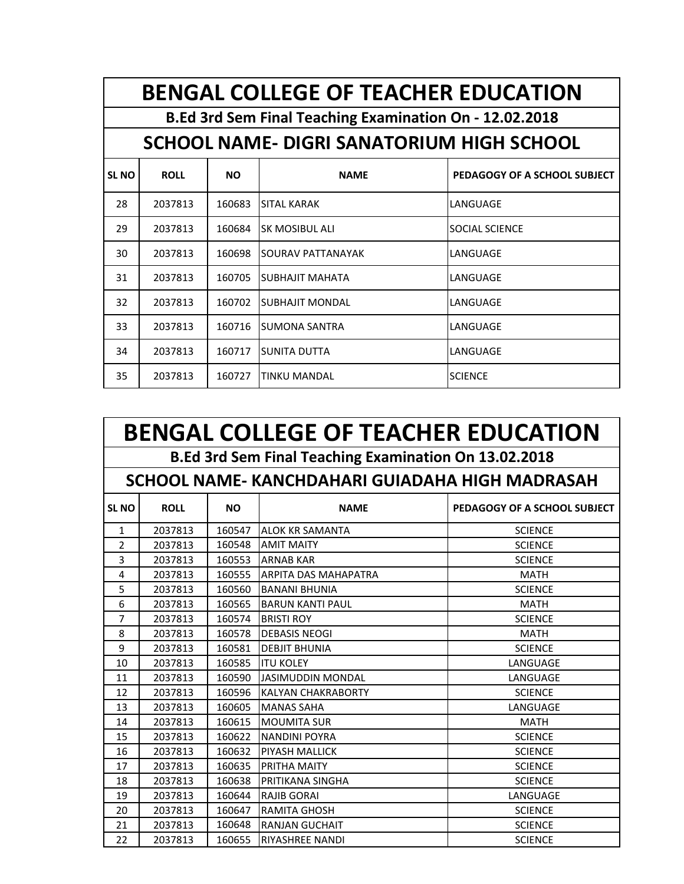|             | <b>BENGAL COLLEGE OF TEACHER EDUCATION</b> |           |                                                         |                              |  |  |  |
|-------------|--------------------------------------------|-----------|---------------------------------------------------------|------------------------------|--|--|--|
|             |                                            |           | B.Ed 3rd Sem Final Teaching Examination On - 12.02.2018 |                              |  |  |  |
|             |                                            |           | SCHOOL NAME- DIGRI SANATORIUM HIGH SCHOOL               |                              |  |  |  |
| <b>SLNO</b> | <b>ROLL</b>                                | <b>NO</b> | <b>NAME</b>                                             | PEDAGOGY OF A SCHOOL SUBJECT |  |  |  |
| 28          | 2037813                                    | 160683    | <b>SITAL KARAK</b>                                      | LANGUAGE                     |  |  |  |
| 29          | 2037813                                    | 160684    | SK MOSIBUL ALI                                          | <b>SOCIAL SCIENCE</b>        |  |  |  |
| 30          | 2037813                                    | 160698    | SOURAV PATTANAYAK                                       | LANGUAGE                     |  |  |  |
| 31          | 2037813                                    | 160705    | <b>SUBHAJIT MAHATA</b>                                  | LANGUAGE                     |  |  |  |
| 32          | 2037813                                    | 160702    | <b>SUBHAJIT MONDAL</b>                                  | LANGUAGE                     |  |  |  |
| 33          | 2037813                                    | 160716    | <b>SUMONA SANTRA</b>                                    | LANGUAGE                     |  |  |  |
| 34          | 2037813                                    | 160717    | SUNITA DUTTA                                            | LANGUAGE                     |  |  |  |
| 35          | 2037813                                    | 160727    | <b>TINKU MANDAL</b>                                     | <b>SCIENCE</b>               |  |  |  |

|                | <b>BENGAL COLLEGE OF TEACHER EDUCATION</b> |           |                                                       |                              |  |  |
|----------------|--------------------------------------------|-----------|-------------------------------------------------------|------------------------------|--|--|
|                |                                            |           | B.Ed 3rd Sem Final Teaching Examination On 13.02.2018 |                              |  |  |
|                |                                            |           | SCHOOL NAME-KANCHDAHARI GUIADAHA HIGH MADRASAH        |                              |  |  |
| <b>SL NO</b>   | <b>ROLL</b>                                | <b>NO</b> | <b>NAME</b>                                           | PEDAGOGY OF A SCHOOL SUBJECT |  |  |
| $\mathbf{1}$   | 2037813                                    | 160547    | <b>ALOK KR SAMANTA</b>                                | <b>SCIENCE</b>               |  |  |
| $\overline{2}$ | 2037813                                    | 160548    | <b>AMIT MAITY</b>                                     | <b>SCIENCE</b>               |  |  |
| 3              | 2037813                                    | 160553    | <b>ARNAB KAR</b>                                      | <b>SCIENCE</b>               |  |  |
| 4              | 2037813                                    | 160555    | <b>ARPITA DAS MAHAPATRA</b>                           | <b>MATH</b>                  |  |  |
| 5              | 2037813                                    | 160560    | <b>BANANI BHUNIA</b>                                  | <b>SCIENCE</b>               |  |  |
| 6              | 2037813                                    | 160565    | <b>BARUN KANTI PAUL</b>                               | <b>MATH</b>                  |  |  |
| 7              | 2037813                                    | 160574    | <b>BRISTI ROY</b>                                     | <b>SCIENCE</b>               |  |  |
| 8              | 2037813                                    | 160578    | <b>DEBASIS NEOGI</b>                                  | <b>MATH</b>                  |  |  |
| 9              | 2037813                                    | 160581    | <b>DEBJIT BHUNIA</b>                                  | <b>SCIENCE</b>               |  |  |
| 10             | 2037813                                    | 160585    | <b>ITU KOLEY</b>                                      | LANGUAGE                     |  |  |
| 11             | 2037813                                    | 160590    | <b>JASIMUDDIN MONDAL</b>                              | LANGUAGE                     |  |  |
| 12             | 2037813                                    | 160596    | <b>KALYAN CHAKRABORTY</b>                             | <b>SCIENCE</b>               |  |  |
| 13             | 2037813                                    | 160605    | <b>MANAS SAHA</b>                                     | LANGUAGE                     |  |  |
| 14             | 2037813                                    | 160615    | <b>MOUMITA SUR</b>                                    | <b>MATH</b>                  |  |  |
| 15             | 2037813                                    | 160622    | <b>NANDINI POYRA</b>                                  | <b>SCIENCE</b>               |  |  |
| 16             | 2037813                                    | 160632    | PIYASH MALLICK                                        | <b>SCIENCE</b>               |  |  |
| 17             | 2037813                                    | 160635    | PRITHA MAITY                                          | <b>SCIENCE</b>               |  |  |
| 18             | 2037813                                    | 160638    | PRITIKANA SINGHA                                      | <b>SCIENCE</b>               |  |  |
| 19             | 2037813                                    | 160644    | <b>RAJIB GORAL</b>                                    | LANGUAGE                     |  |  |
| 20             | 2037813                                    | 160647    | <b>RAMITA GHOSH</b>                                   | <b>SCIENCE</b>               |  |  |
| 21             | 2037813                                    | 160648    | <b>RANJAN GUCHAIT</b>                                 | <b>SCIENCE</b>               |  |  |
| 22             | 2037813                                    | 160655    | <b>RIYASHREE NANDI</b>                                | <b>SCIENCE</b>               |  |  |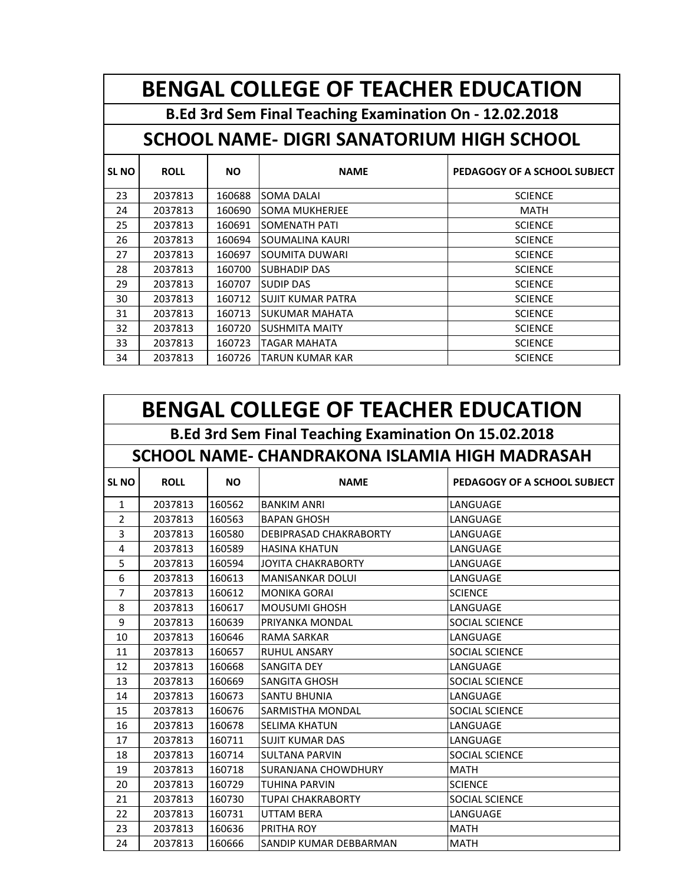|              | <b>BENGAL COLLEGE OF TEACHER EDUCATION</b> |           |                                                         |                              |  |  |
|--------------|--------------------------------------------|-----------|---------------------------------------------------------|------------------------------|--|--|
|              |                                            |           | B.Ed 3rd Sem Final Teaching Examination On - 12.02.2018 |                              |  |  |
|              |                                            |           | SCHOOL NAME- DIGRI SANATORIUM HIGH SCHOOL               |                              |  |  |
| <b>SL NO</b> | <b>ROLL</b>                                | <b>NO</b> | <b>NAME</b>                                             | PEDAGOGY OF A SCHOOL SUBJECT |  |  |
| 23           | 2037813                                    | 160688    | <b>SOMA DALAI</b>                                       | <b>SCIENCE</b>               |  |  |
| 24           | 2037813                                    | 160690    | <b>SOMA MUKHERJEE</b>                                   | MATH                         |  |  |
| 25           | 2037813                                    | 160691    | <b>SOMENATH PATI</b>                                    | <b>SCIENCE</b>               |  |  |
| 26           | 2037813                                    | 160694    | <b>SOUMALINA KAURI</b>                                  | <b>SCIENCE</b>               |  |  |
| 27           | 2037813                                    | 160697    | <b>SOUMITA DUWARI</b>                                   | <b>SCIENCE</b>               |  |  |
| 28           | 2037813                                    | 160700    | <b>SUBHADIP DAS</b>                                     | <b>SCIENCE</b>               |  |  |
| 29           | 2037813                                    | 160707    | <b>SUDIP DAS</b>                                        | <b>SCIENCE</b>               |  |  |
| 30           | 2037813                                    | 160712    | <b>SUJIT KUMAR PATRA</b>                                | <b>SCIENCE</b>               |  |  |
| 31           | 2037813                                    | 160713    | SUKUMAR MAHATA                                          | <b>SCIENCE</b>               |  |  |
| 32           | 2037813                                    | 160720    | <b>SUSHMITA MAITY</b>                                   | <b>SCIENCE</b>               |  |  |
| 33           | 2037813                                    | 160723    | <b>TAGAR MAHATA</b>                                     | <b>SCIENCE</b>               |  |  |
| 34           | 2037813                                    | 160726    | <b>TARUN KUMAR KAR</b>                                  | <b>SCIENCE</b>               |  |  |

|                | <b>BENGAL COLLEGE OF TEACHER EDUCATION</b>            |           |                                                |                              |  |  |
|----------------|-------------------------------------------------------|-----------|------------------------------------------------|------------------------------|--|--|
|                | B.Ed 3rd Sem Final Teaching Examination On 15.02.2018 |           |                                                |                              |  |  |
|                |                                                       |           | SCHOOL NAME- CHANDRAKONA ISLAMIA HIGH MADRASAH |                              |  |  |
| <b>SL NO</b>   | <b>ROLL</b>                                           | <b>NO</b> | <b>NAME</b>                                    | PEDAGOGY OF A SCHOOL SUBJECT |  |  |
| $\mathbf{1}$   | 2037813                                               | 160562    | <b>BANKIM ANRI</b>                             | LANGUAGE                     |  |  |
| $\overline{2}$ | 2037813                                               | 160563    | <b>BAPAN GHOSH</b>                             | LANGUAGE                     |  |  |
| 3              | 2037813                                               | 160580    | DEBIPRASAD CHAKRABORTY                         | LANGUAGE                     |  |  |
| 4              | 2037813                                               | 160589    | <b>HASINA KHATUN</b>                           | LANGUAGE                     |  |  |
| 5              | 2037813                                               | 160594    | <b>JOYITA CHAKRABORTY</b>                      | LANGUAGE                     |  |  |
| 6              | 2037813                                               | 160613    | <b>MANISANKAR DOLUI</b>                        | LANGUAGE                     |  |  |
| $\overline{7}$ | 2037813                                               | 160612    | <b>MONIKA GORAI</b>                            | <b>SCIENCE</b>               |  |  |
| 8              | 2037813                                               | 160617    | <b>MOUSUMI GHOSH</b>                           | LANGUAGE                     |  |  |
| 9              | 2037813                                               | 160639    | PRIYANKA MONDAL                                | SOCIAL SCIENCE               |  |  |
| 10             | 2037813                                               | 160646    | <b>RAMA SARKAR</b>                             | LANGUAGE                     |  |  |
| 11             | 2037813                                               | 160657    | <b>RUHUL ANSARY</b>                            | <b>SOCIAL SCIENCE</b>        |  |  |
| 12             | 2037813                                               | 160668    | <b>SANGITA DEY</b>                             | LANGUAGE                     |  |  |
| 13             | 2037813                                               | 160669    | <b>SANGITA GHOSH</b>                           | <b>SOCIAL SCIENCE</b>        |  |  |
| 14             | 2037813                                               | 160673    | <b>SANTU BHUNIA</b>                            | LANGUAGE                     |  |  |
| 15             | 2037813                                               | 160676    | <b>SARMISTHA MONDAL</b>                        | SOCIAL SCIENCE               |  |  |
| 16             | 2037813                                               | 160678    | <b>SELIMA KHATUN</b>                           | LANGUAGE                     |  |  |
| 17             | 2037813                                               | 160711    | <b>SUJIT KUMAR DAS</b>                         | LANGUAGE                     |  |  |
| 18             | 2037813                                               | 160714    | <b>SULTANA PARVIN</b>                          | <b>SOCIAL SCIENCE</b>        |  |  |
| 19             | 2037813                                               | 160718    | <b>SURANJANA CHOWDHURY</b>                     | <b>MATH</b>                  |  |  |
| 20             | 2037813                                               | 160729    | <b>TUHINA PARVIN</b>                           | <b>SCIENCE</b>               |  |  |
| 21             | 2037813                                               | 160730    | <b>TUPAI CHAKRABORTY</b>                       | <b>SOCIAL SCIENCE</b>        |  |  |
| 22             | 2037813                                               | 160731    | <b>UTTAM BERA</b>                              | LANGUAGE                     |  |  |
| 23             | 2037813                                               | 160636    | PRITHA ROY                                     | <b>MATH</b>                  |  |  |
| 24             | 2037813                                               | 160666    | SANDIP KUMAR DEBBARMAN                         | <b>MATH</b>                  |  |  |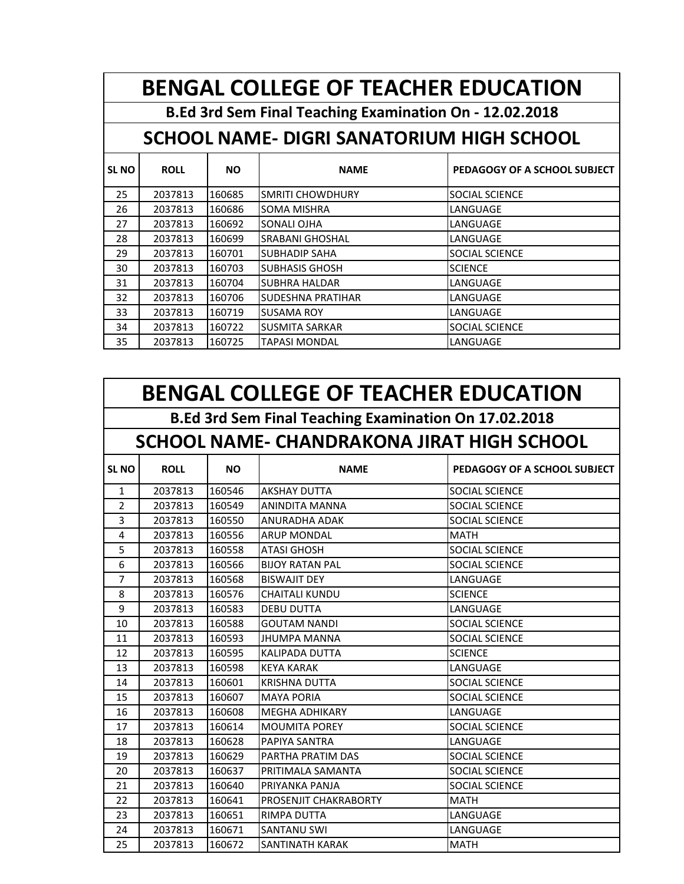**BENGAL COLLEGE OF TEACHER EDUCATION**

**B.Ed 3rd Sem Final Teaching Examination On - 12.02.2018**

## **SCHOOL NAME- DIGRI SANATORIUM HIGH SCHOOL**

| <b>SLNO</b> | <b>ROLL</b> | <b>NO</b> | <b>NAME</b>              | PEDAGOGY OF A SCHOOL SUBJECT |
|-------------|-------------|-----------|--------------------------|------------------------------|
| 25          | 2037813     | 160685    | <b>SMRITI CHOWDHURY</b>  | <b>SOCIAL SCIENCE</b>        |
| 26          | 2037813     | 160686    | <b>SOMA MISHRA</b>       | LANGUAGE                     |
| 27          | 2037813     | 160692    | SONALI OJHA              | LANGUAGE                     |
| 28          | 2037813     | 160699    | <b>SRABANI GHOSHAL</b>   | LANGUAGE                     |
| 29          | 2037813     | 160701    | <b>SUBHADIP SAHA</b>     | <b>SOCIAL SCIENCE</b>        |
| 30          | 2037813     | 160703    | <b>SUBHASIS GHOSH</b>    | <b>SCIENCE</b>               |
| 31          | 2037813     | 160704    | <b>SUBHRA HALDAR</b>     | LANGUAGE                     |
| 32          | 2037813     | 160706    | <b>SUDESHNA PRATIHAR</b> | LANGUAGE                     |
| 33          | 2037813     | 160719    | <b>SUSAMA ROY</b>        | LANGUAGE                     |
| 34          | 2037813     | 160722    | <b>SUSMITA SARKAR</b>    | <b>SOCIAL SCIENCE</b>        |
| 35          | 2037813     | 160725    | <b>TAPASI MONDAL</b>     | LANGUAGE                     |

|                | <b>BENGAL COLLEGE OF TEACHER EDUCATION</b>            |           |                                            |                              |  |  |
|----------------|-------------------------------------------------------|-----------|--------------------------------------------|------------------------------|--|--|
|                | B.Ed 3rd Sem Final Teaching Examination On 17.02.2018 |           |                                            |                              |  |  |
|                |                                                       |           | SCHOOL NAME- CHANDRAKONA JIRAT HIGH SCHOOL |                              |  |  |
| <b>SLNO</b>    | <b>ROLL</b>                                           | <b>NO</b> | <b>NAME</b>                                | PEDAGOGY OF A SCHOOL SUBJECT |  |  |
| $\mathbf{1}$   | 2037813                                               | 160546    | <b>AKSHAY DUTTA</b>                        | SOCIAL SCIENCE               |  |  |
| $\mathfrak{p}$ | 2037813                                               | 160549    | <b>ANINDITA MANNA</b>                      | SOCIAL SCIENCE               |  |  |
| 3              | 2037813                                               | 160550    | ANURADHA ADAK                              | SOCIAL SCIENCE               |  |  |
| 4              | 2037813                                               | 160556    | <b>ARUP MONDAL</b>                         | <b>MATH</b>                  |  |  |
| 5              | 2037813                                               | 160558    | <b>ATASI GHOSH</b>                         | SOCIAL SCIENCE               |  |  |
| 6              | 2037813                                               | 160566    | <b>BIJOY RATAN PAL</b>                     | SOCIAL SCIENCE               |  |  |
| $\overline{7}$ | 2037813                                               | 160568    | <b>BISWAJIT DEY</b>                        | LANGUAGE                     |  |  |
| 8              | 2037813                                               | 160576    | <b>CHAITALI KUNDU</b>                      | <b>SCIENCE</b>               |  |  |
| 9              | 2037813                                               | 160583    | <b>DEBU DUTTA</b>                          | LANGUAGE                     |  |  |
| 10             | 2037813                                               | 160588    | <b>GOUTAM NANDI</b>                        | SOCIAL SCIENCE               |  |  |
| 11             | 2037813                                               | 160593    | <b>JHUMPA MANNA</b>                        | SOCIAL SCIENCE               |  |  |
| 12             | 2037813                                               | 160595    | <b>KALIPADA DUTTA</b>                      | <b>SCIENCE</b>               |  |  |
| 13             | 2037813                                               | 160598    | <b>KEYA KARAK</b>                          | LANGUAGE                     |  |  |
| 14             | 2037813                                               | 160601    | <b>KRISHNA DUTTA</b>                       | SOCIAL SCIENCE               |  |  |
| 15             | 2037813                                               | 160607    | <b>MAYA PORIA</b>                          | SOCIAL SCIENCE               |  |  |
| 16             | 2037813                                               | 160608    | <b>MEGHA ADHIKARY</b>                      | LANGUAGE                     |  |  |
| 17             | 2037813                                               | 160614    | <b>MOUMITA POREY</b>                       | SOCIAL SCIENCE               |  |  |
| 18             | 2037813                                               | 160628    | PAPIYA SANTRA                              | LANGUAGE                     |  |  |
| 19             | 2037813                                               | 160629    | PARTHA PRATIM DAS                          | SOCIAL SCIENCE               |  |  |
| 20             | 2037813                                               | 160637    | PRITIMALA SAMANTA                          | SOCIAL SCIENCE               |  |  |
| 21             | 2037813                                               | 160640    | PRIYANKA PANJA                             | SOCIAL SCIENCE               |  |  |
| 22             | 2037813                                               | 160641    | <b>PROSENJIT CHAKRABORTY</b>               | <b>MATH</b>                  |  |  |
| 23             | 2037813                                               | 160651    | RIMPA DUTTA                                | LANGUAGE                     |  |  |
| 24             | 2037813                                               | 160671    | <b>SANTANU SWI</b>                         | LANGUAGE                     |  |  |
| 25             | 2037813                                               | 160672    | <b>SANTINATH KARAK</b>                     | <b>MATH</b>                  |  |  |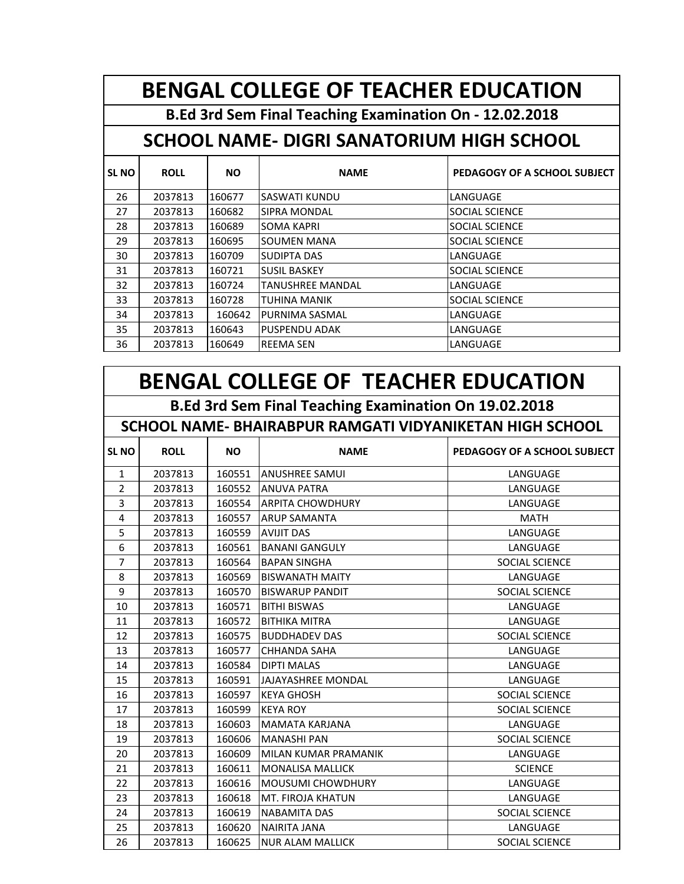**BENGAL COLLEGE OF TEACHER EDUCATION**

**B.Ed 3rd Sem Final Teaching Examination On - 12.02.2018**

### **SCHOOL NAME- DIGRI SANATORIUM HIGH SCHOOL**

| <b>SLNO</b> | <b>ROLL</b> | <b>NO</b> | <b>NAME</b>             | PEDAGOGY OF A SCHOOL SUBJECT |
|-------------|-------------|-----------|-------------------------|------------------------------|
| 26          | 2037813     | 160677    | <b>SASWATI KUNDU</b>    | LANGUAGE                     |
| 27          | 2037813     | 160682    | <b>SIPRA MONDAL</b>     | <b>SOCIAL SCIENCE</b>        |
| 28          | 2037813     | 160689    | <b>SOMA KAPRI</b>       | <b>SOCIAL SCIENCE</b>        |
| 29          | 2037813     | 160695    | <b>SOUMEN MANA</b>      | <b>SOCIAL SCIENCE</b>        |
| 30          | 2037813     | 160709    | <b>SUDIPTA DAS</b>      | LANGUAGE                     |
| 31          | 2037813     | 160721    | <b>SUSIL BASKEY</b>     | <b>SOCIAL SCIENCE</b>        |
| 32          | 2037813     | 160724    | <b>TANUSHREE MANDAL</b> | LANGUAGE                     |
| 33          | 2037813     | 160728    | TUHINA MANIK            | <b>SOCIAL SCIENCE</b>        |
| 34          | 2037813     | 160642    | PURNIMA SASMAL          | LANGUAGE                     |
| 35          | 2037813     | 160643    | <b>PUSPENDU ADAK</b>    | LANGUAGE                     |
| 36          | 2037813     | 160649    | <b>REEMA SEN</b>        | LANGUAGE                     |

# **BENGAL COLLEGE OF TEACHER EDUCATION**

**B.Ed 3rd Sem Final Teaching Examination On 19.02.2018**

#### **SCHOOL NAME- BHAIRABPUR RAMGATI VIDYANIKETAN HIGH SCHOOL**

| <b>SLNO</b>    | <b>ROLL</b> | <b>NO</b> | <b>NAME</b>               | PEDAGOGY OF A SCHOOL SUBJECT |
|----------------|-------------|-----------|---------------------------|------------------------------|
| $\mathbf{1}$   | 2037813     | 160551    | <b>ANUSHREE SAMUL</b>     | LANGUAGE                     |
| $\overline{2}$ | 2037813     | 160552    | <b>ANUVA PATRA</b>        | LANGUAGE                     |
| 3              | 2037813     | 160554    | <b>ARPITA CHOWDHURY</b>   | LANGUAGE                     |
| 4              | 2037813     | 160557    | <b>ARUP SAMANTA</b>       | <b>MATH</b>                  |
| 5              | 2037813     | 160559    | <b>AVIJIT DAS</b>         | LANGUAGE                     |
| 6              | 2037813     | 160561    | <b>BANANI GANGULY</b>     | LANGUAGE                     |
| $\overline{7}$ | 2037813     | 160564    | <b>BAPAN SINGHA</b>       | <b>SOCIAL SCIENCE</b>        |
| 8              | 2037813     | 160569    | <b>BISWANATH MAITY</b>    | LANGUAGE                     |
| 9              | 2037813     | 160570    | <b>BISWARUP PANDIT</b>    | <b>SOCIAL SCIENCE</b>        |
| 10             | 2037813     | 160571    | <b>BITHI BISWAS</b>       | LANGUAGE                     |
| 11             | 2037813     | 160572    | <b>BITHIKA MITRA</b>      | LANGUAGE                     |
| 12             | 2037813     | 160575    | <b>BUDDHADEV DAS</b>      | <b>SOCIAL SCIENCE</b>        |
| 13             | 2037813     | 160577    | <b>CHHANDA SAHA</b>       | LANGUAGE                     |
| 14             | 2037813     | 160584    | <b>DIPTI MALAS</b>        | LANGUAGE                     |
| 15             | 2037813     | 160591    | <b>JAJAYASHREE MONDAL</b> | LANGUAGE                     |
| 16             | 2037813     | 160597    | <b>KEYA GHOSH</b>         | <b>SOCIAL SCIENCE</b>        |
| 17             | 2037813     | 160599    | <b>KEYA ROY</b>           | SOCIAL SCIENCE               |
| 18             | 2037813     | 160603    | MAMATA KARJANA            | LANGUAGE                     |
| 19             | 2037813     | 160606    | <b>MANASHI PAN</b>        | <b>SOCIAL SCIENCE</b>        |
| 20             | 2037813     | 160609    | MILAN KUMAR PRAMANIK      | LANGUAGE                     |
| 21             | 2037813     | 160611    | MONALISA MALLICK          | <b>SCIENCE</b>               |
| 22             | 2037813     | 160616    | <b>MOUSUMI CHOWDHURY</b>  | LANGUAGE                     |
| 23             | 2037813     | 160618    | MT. FIROJA KHATUN         | LANGUAGE                     |
| 24             | 2037813     | 160619    | NABAMITA DAS              | SOCIAL SCIENCE               |
| 25             | 2037813     | 160620    | <b>NAIRITA JANA</b>       | LANGUAGE                     |
| 26             | 2037813     | 160625    | NUR ALAM MALLICK          | SOCIAL SCIENCE               |